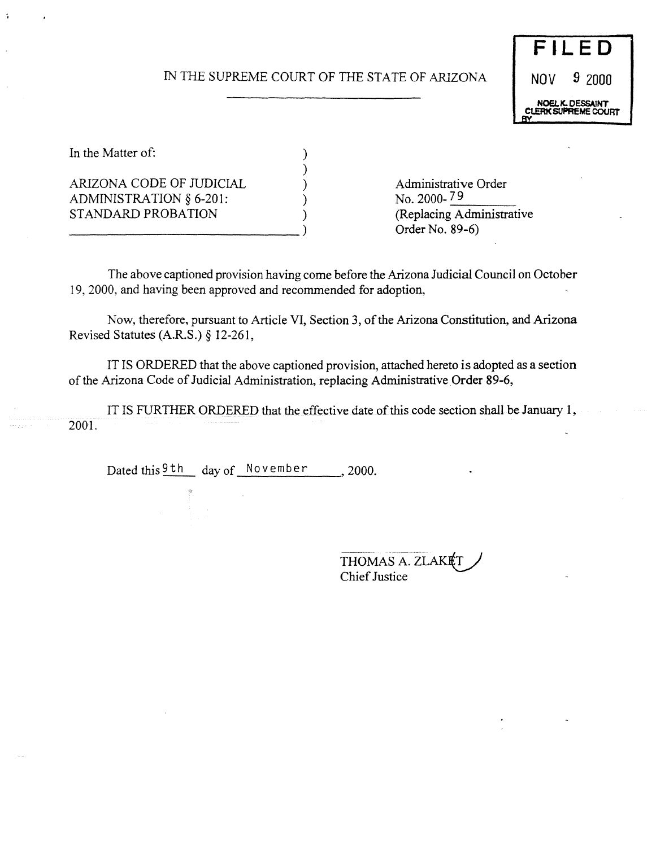# IN THE SUPREME COURT OF THE STATE OF ARIZONA NOV 9 2000

)



In the Matter of:  $\qquad \qquad$  )

ARIZONA CODE OF JUDICIAL (and a substantial political degree of Administrative Order<br>ADMINISTRATION  $\delta$  6-201: ADMINISTRATION  $§$  6-201: STANDARD PROBATION ) (Replacing Administrative

Order No. 89-6)

The above captioned provision having come before the Arizona Judicial Council on October 19, 2000, and having been approved and recommended for adoption,

Now, therefore, pursuant to Article VI, Section 3, of the Arizona Constitution, and Arizona Revised Statutes (A.R.S.) § 12-26 1,

IT IS ORDERED that the above captioned provision, attached hereto *is* adopted as a section of the Arizona Code of Judicial Administration, replacing Administrative Order 89-6,

IT IS FURTHER ORDERED that the effective date of this code section shall be January 1, 2001.

Dated this  $\frac{9th}{ }$  day of November , 2000.

THOMAS A. ZLAKET Chief Justice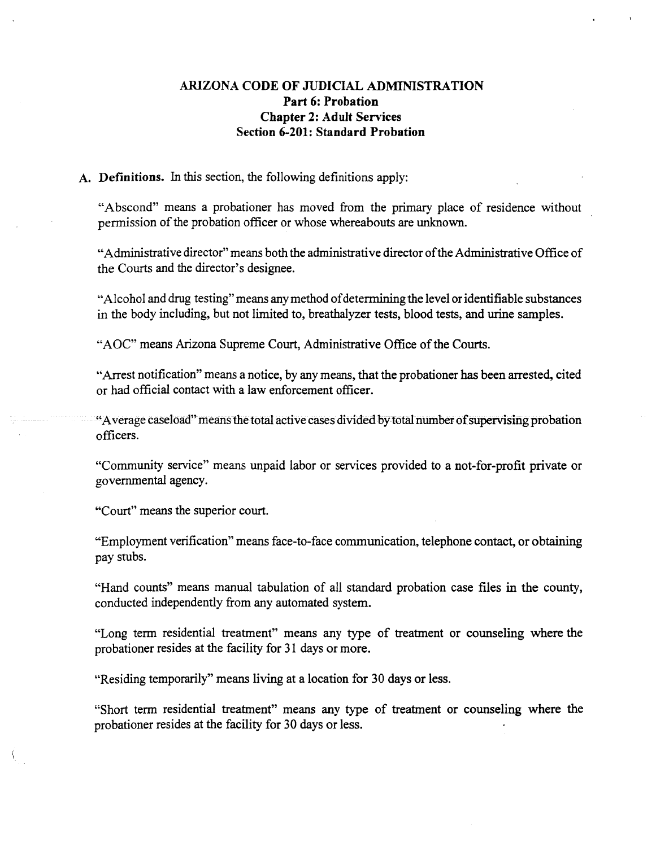## **ARIZONA CODE OF** JUDICIAL **ADMINISTRATION Part 6: Probation Chapter 2: Adult Services Section 6-201: Standard Probation**

#### **A. Definitions. In** this section, the following definitions apply:

**"Abscond"** means **a** probationer has moved from the primary place **of residence** without permission of the probation officer or whose whereabouts are unknown.

"Administrative director" means both the administrative director of the Administrative Office of the Courts and the director's designee.

"Alcohol and drug testing" means any method of determining the level or identifiable substances in the body including, but not limited to, breathalyzer tests, blood tests, and urine samples.

"AOC" means Arizona Supreme Court, Administrative Office of the Courts.

"Arrest notification"means a notice, by anymeans, that the probationer has been arrested, cited or had official contact with a law enforcement officer.

"Averagecaseload"meansthetotal activecases divided by total number**of**supervising**probation** officers.

"Community service" means unpaid labor or services provided to a not-for-profit private or governmental agency.

"Court" means the superior court.

"Employment verification" means face-to-face communication, telephone contact, or obtaining pay stubs.

"Hand counts" means manual tabulation of all standard probation case files in the county, conducted independently from any automated system.

"Long term residential treatment" means any type of treatment or counseling where the probationer resides at the facility for 31 days **or more.**

"Residing temporarily" means living at a location for 30 days **or less.**

"Short term residential treatment" means any type of treatment **or** counseling **where the** probationer resides at the facility for 30 days or less.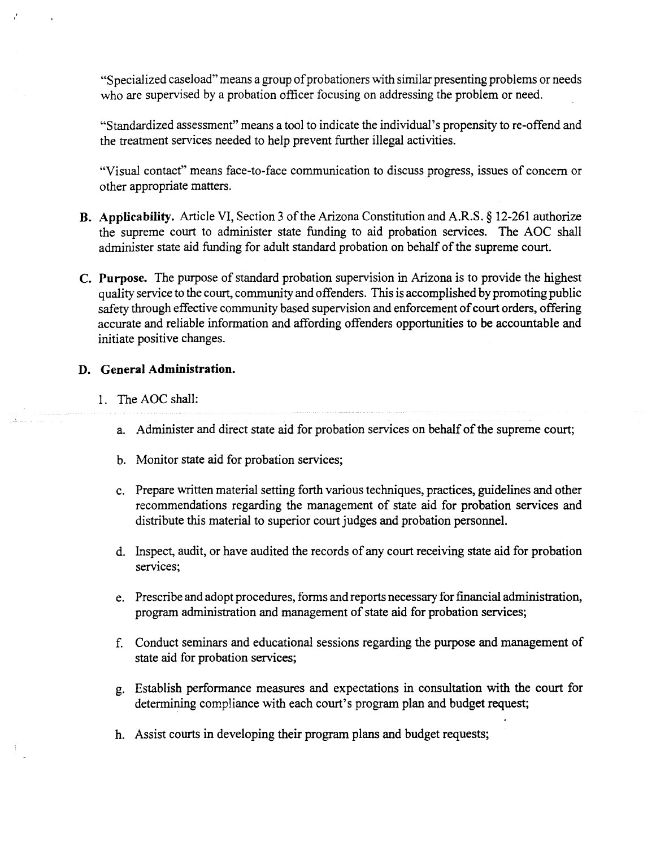"Specialized caseload" means a group of probationers with similar presenting problems or needs who are supervised by a probation officer focusing on addressing the problem or need.

"Standardized assessment" means a tool to indicate the individual's propensity to re-offend and the treatment services needed to help prevent further illegal activities.

"Visual contact" means face-to-face communication to discuss progress, issues of concern or other appropriate matters.

- B. Applicability. Article VI, Section 3 of the Arizona Constitution and A.R.S. § 12-261 authorize the supreme court to administer state funding to aid probation services. The AOC shall administer state aid funding for adult standard probation on behalf of the supreme court.
- **C. Purpose. The purpose of**standard probation supervision in Arizona is to provide the highest quality service to the court, community and offenders. This is accomplished by promoting public safetythrough effectivecommunitybased **supervision and enforcement of**court**orders, offering** accurate and **reliable information and affording offenders opportunities to be accountable** and initiate positive changes.

### **D. General Administration.**

- **1. The AOC shall:**
	- **a. Administer and direct state** aid **for probation services on behalf ofthe supreme** court;
	- **b.** Monitor state aid for probation services;
	- c. Prepare written material setting forth various techniques, practices, guidelines and other recommendations regarding the management of state aid **for probation services** and distribute this material to superior court judges and probation personnel.
	- d. Inspect, audit, or have audited the records ofany court **receiving state** aid for probation services;
	- e. Prescribe and adopt procedures, forms and reports necessary for financial administration, program administration and management of state aid for probation services;
	- f. Conduct seminars and educational sessions regarding the purpose and management **of** state aid **for probation** services;
	- **g. Establish** performance measures **and** expectations in consultation with **the court for** determining compliance with each court's program plan and **budget request;**
	- **h. Assist** courts **in developing their** program plans **and budget requests;**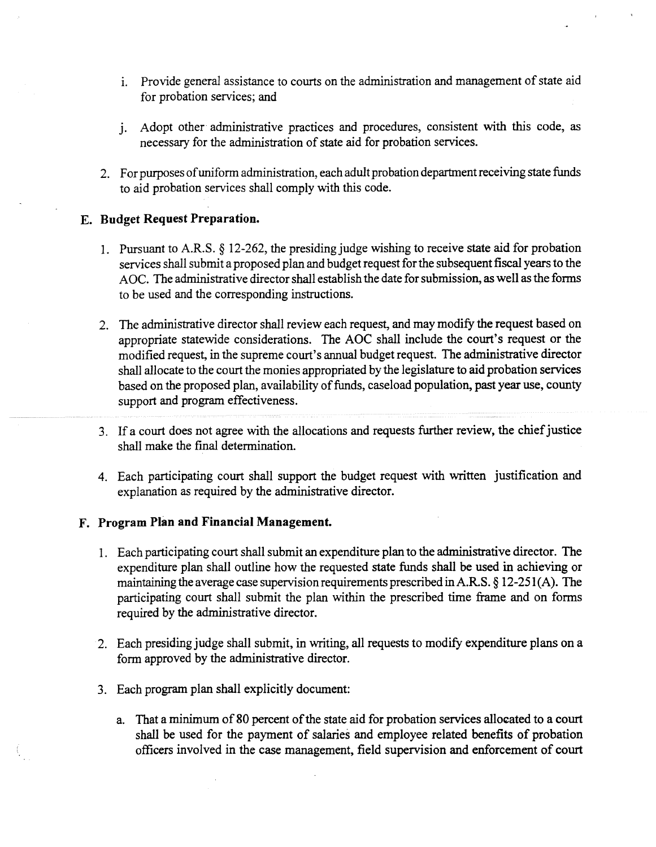- i. Provide general assistance to courts on the administration and management of state aid **for probation services;** and
- j. Adopt other administrative practices and procedures, consistent with this code, as necessary **for the** administration ofstate aid **for probation services.**
- 2. For purposes of uniform administration, each adult probation department receiving state funds to aid probation services shall comply with this **code.**

### **E. Budget Request Preparation.**

- 1. Pursuant to A.R.S. § 12-262, the presidingjudge wishing to receive state aid **for probation** services shall submit a proposed plan and budget request for the subsequent fiscal years to the AOC. The administrative director shall establish the date for submission, as well as the forms to be used and the corresponding instructions.
- 2. The administrative director shall review each request, and may modify the request based on appropriate statewide considerations. The AOC shall include the court's request or the modified request, in the supreme court's annual **budget request. The** administrative director shall allocate to the court the monies appropriated by the legislature to aid probation services based on the proposed plan, availability of funds, caseload population, past year use, county support and program **effectiveness.**
- 3. Ifa court does not agree with the allocations and **requests** further **review, the** chiefjustice shall make the final determination.
- 4. Each participating court shall support the budget request with written justification and explanation as required by the administrative director.

### **F. Program Plan and Financial Management.**

- 1. Each participating court shall submit an expenditure plan to the administrative director. The **expenditure plan shall outline how the requested** state funds **shall be used in** achieving **or** maintaining **the** average **case supervisionrequirements prescribedin A.R.S.** § 12-251(A). **The participating court shall submit the plan within the prescribed time** frame **and on forms required by the administrative director.**
- **2. Each presiding judge shall submit, in writing, all requests to modify expenditure plans on a form approved by the administrative director.**
- **3. Each program plan shall explicitly document:**
	- **a. That a minimum of80 percent ofthe state aid for probation services allocatedto a court shall be used for the payment of**salaries and **employee related benefits of probation officers involved in the case management, field supervision** and **enforcement ofcourt**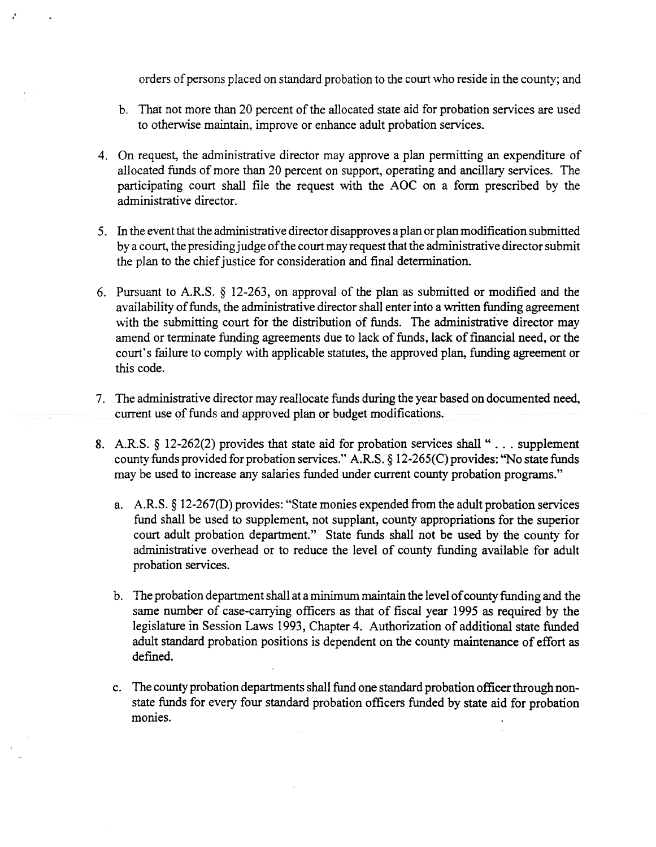orders of persons placed on standard probation to the court who reside in the county; and

- b. That not more than 20 percent of the allocated state aid for probation services are used to otherwise maintain, improve or enhance adult probation services.
- 4. On request, the administrative director may approve a plan permitting an expenditure of allocated funds of more than 20 percent on support, operating and ancillary services. The participating court shall file the request with the AOC on a form prescribed by the administrative director.
- 5. In the event that the administrative director disapproves a plan or plan modification submitted by a court, the presiding judge of the court may request that the administrative director submit the plan to the chief justice for consideration and final determination.
- 6. Pursuant to A.R.S. § 12-263, on approval of the plan as submitted or modified and the availability of funds, the administrative director shall enter into a written funding agreement with the submitting court for the distribution of funds. The administrative director may amend or terminate funding agreements due to lack of funds, lack of financial need, or the court's failure to comply with applicable statutes, the approved plan, funding agreement or this code.
- 7. The administrative director may reallocate funds during the year based on documented need, current use of funds and approved plan or budget modifications.
- 8. A.R.S. § 12-262(2) provides that state aid for probation services shall".. . supplement county funds provided for probation services." A.R.S. § 12-265(C) provides: "No state funds may be used to increase any salaries funded under current county probation programs."
	- a. A.R.S.  $\S 12{\text -}267(D)$  provides: "State monies expended from the adult probation services fund shall be used to supplement, not supplant, county appropriations for the superior court adult probation department." State funds shall not be used by the county for administrative overhead or to reduce the level of county funding available for adult probation services.
	- b. The probation department shall at a minimum maintain the level of county funding and the same number of case-carrying officers as that of fiscal year 1995 as required by the legislature in Session Laws 1993, Chapter 4. Authorization of additional state funded adult standard probation positions is dependent on the county maintenance of effort as defined.
	- c. The county probation departments shall fund one standard probation officer through nonstate funds for every four standard probation officers funded by state aid **for probation** monies.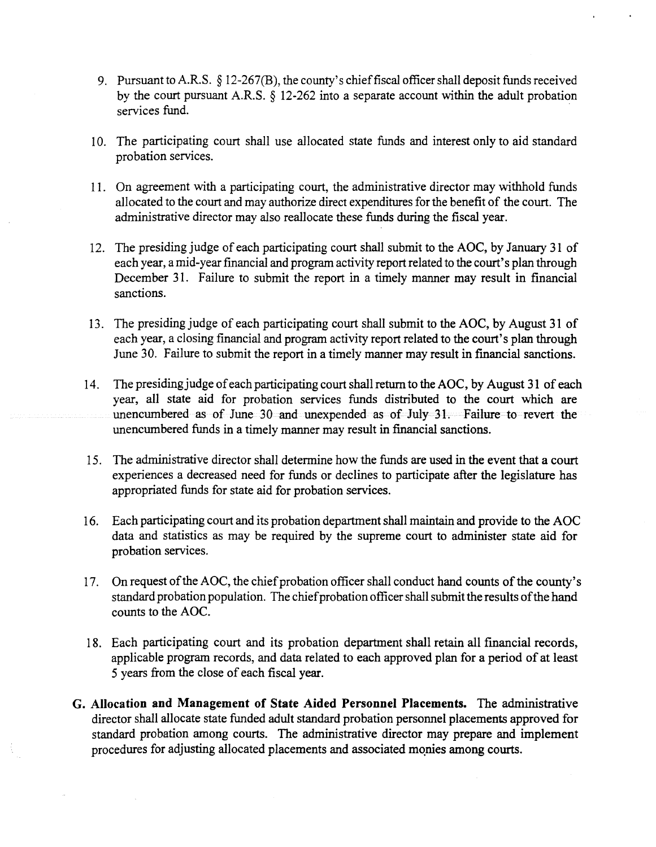- 9. Pursuant to A.R.S.  $\S$  12-267(B), the county's chief fiscal officer shall deposit funds received by the court pursuant A.R.S. § 12-262 into a separate account within **the** adult probation services fund.
- 10. The participating court shall use allocated state funds and interest only to aid standard probation services.
- 11. On agreement with a participating court, the administrative director may withhold funds allocated to the court and may authorize direct expenditures for the benefit of the court. The administrative director may also reallocate these funds during the fiscal year.
- 12. The presiding judge of each participating court shall submit to the AOC, by January 31 of each year, a mid-year financial and program activity report related to the court's plan through December 31. Failure to submit the report in a timely manner may result in financial sanctions.
- 13. The presiding judge of each participating court shall submit to the AOC, by August 31 of each year, a closing financial and program activity report related to the court's plan through June 30. Failure to submit the report in a timely manner may result in financial sanctions.
- 14. The presiding judge of each participating court shall return to the AOC, by August 31 of each year, all state aid for probation services funds distributed to the court which are unencumbered as of June 30 and unexpended as of July 31. Failure to revert the unencumbered funds in a timely manner may result in financial sanctions.
- *15.* The administrative director shall determine howthe funds are used in the event that a court experiences a decreased need for funds or declines to participate after the legislature has appropriated funds forstate aid for probation services.
- 16. Each participating court and its probation department shall maintain and provide to the AOC data and statistics as may be required by the supreme court to administer state **aid for** probation services.
- 17. On request of the AOC, the chief probation officer shall conduct hand counts of the county's standard probation population. The chief probation officer shall submit the results of the hand counts to the AOC.
- 18. Each participating court and its probation department shall retain all financial records, applicable program records, and data related to each approved plan for a period of at least 5 years from the close of each fiscal year.
- G. **Allocation and Management of State Aided Personnel Placements. The administrative** director shall allocate state funded adult standard probation personnel placements approved for standard probation among courts. The administrative director may prepare and **implement** procedures for adjusting allocated placements and **associated mqnies among courts.**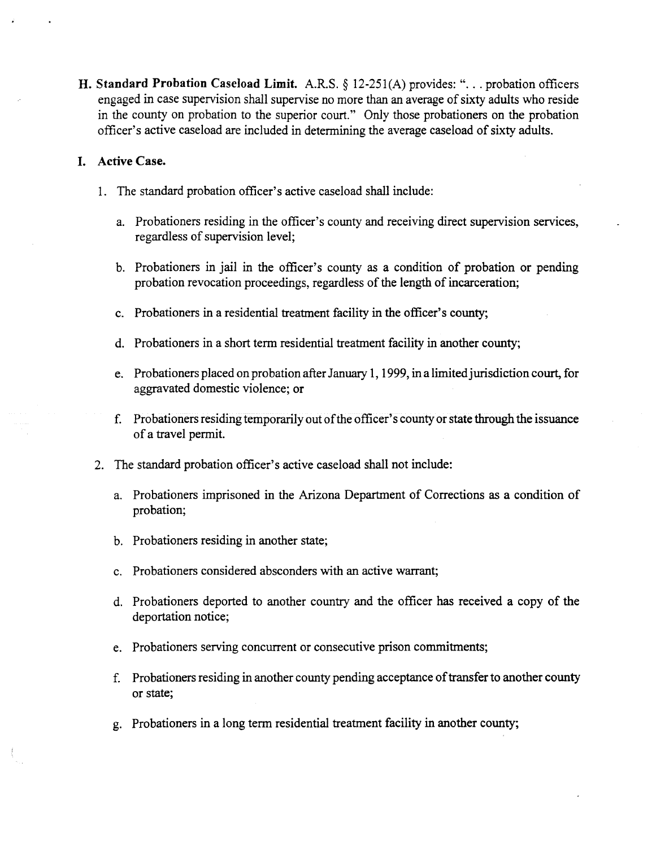H. Standard Probation Caseload Limit. A.R.S. § 12-251(A) provides: "... probation officers engaged in case supervision shall supervise no more than an average of sixty adults who reside in the county on probation to the superior court." Only those probationers on the probation officer's active caseload are included in determining the average caseload of sixty adults.

### **I. Active Case.**

- 1. The standard probation officer's active caseload shall include:
	- a. Probationers residing in the officer's county and receiving direct supervision services, regardless of supervision level;
	- b. Probationers in jail in the officer's county as a condition of probation or pending probation revocation proceedings, regardless of the length of incarceration;
	- c. Probationers in a residential treatment facility in the officer's county;
	- d. Probationers in a short termresidential treatment facility in another county;
	- e. Probationers placed on probation after January 1, 1999, in a limited jurisdiction court, for aggravated domestic violence; or
	- f. Probationers residing temporarily out of the officer's county or state through the issuance ofa travel permit.
- 2. The standard probation officer's active caseload shall not include:
	- a. Probationers imprisoned in the Arizona Department of Corrections **as a condition of** probation;
	- b. Probationers residing in another state;
	- c. Probationers considered absconders with an active warrant;
	- d. Probationers deported to another country and the officer has received a copy of the deportation notice;
	- e. Probationers serving concurrent or consecutive prison commitments;
	- f. Probationers residing in another county pending acceptance of transfer to another county or state;
	- g. Probationers in a long term residential treatment facility in another county;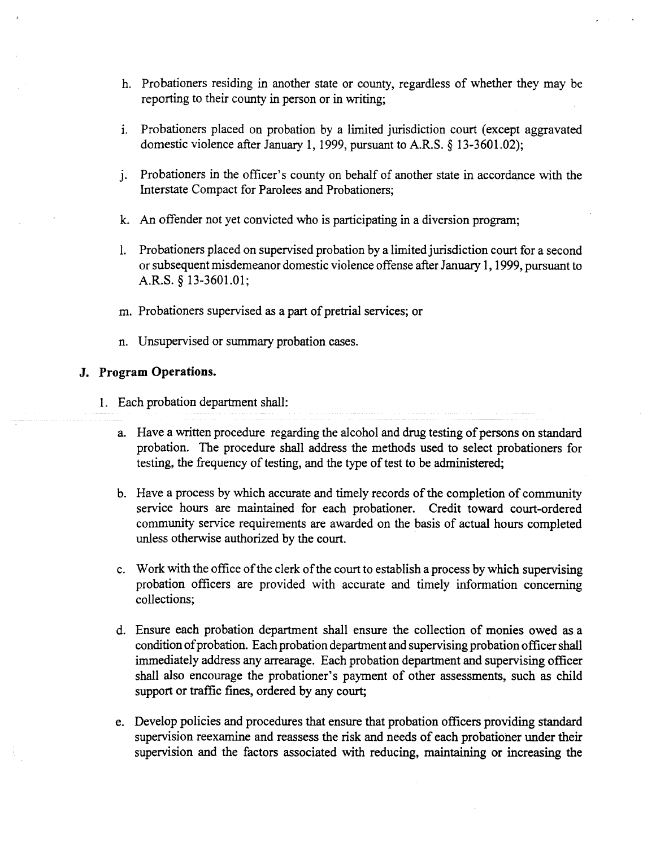- h. Probationers residing in another state or county, regardless of whether they may be reporting to their county in person or in writing;
- i. Probationers placed on probation by a limited jurisdiction court (except aggravated domestic violence after January 1, 1999, pursuant to A.R.S.  $\S$  13-3601.02);
- j. Probationers in the officer's county on behalf of another state in accordance with the Interstate Compact for Parolees and Probationers;
- k. An offender not yet convicted who is participating in a diversion program;
- 1. Probationers placed on supervised probation by a limited jurisdiction court for a second or subsequent misdemeanor domestic violence offense after January 1, 1999, pursuant to A.R.S. § 13-3601.01;
- m. Probationers supervised as a part of pretrial services; or
- n. Unsupervised or summary probation cases.

### **.J. Program Operations.**

**1. Each** probation department shall:

- a. Have a written procedure regarding the alcohol and drug testing of persons on standard probation. The procedure shall address the methods used to select probationers for testing, the frequency of testing, and the type of test to be administered;
- b. Have a process by which accurate and timely records of the completion of community service hours are maintained for each probationer. Credit toward court-ordered community service requirements are awarded on the basis of actual hours completed unless otherwise authorized by the court.
- c. Work with the office of the clerk of the court to establish a process by which supervising probation officers are provided with accurate and timely information concerning collections;
- d. Ensure each probation department shall ensure the collection of monies owed as a condition of probation. Each probation department and supervising probation officer shall immediately address any arrearage. Each probation department and supervising officer shall also encourage the probationer's payment of other assessments, such as child support or traffic fines, ordered by any court;
- e. Develop policies and procedures that ensure that **probation officers providing** standard supervision reexamine and reassess the risk and needs of each probationer under their supervision and the factors associated with reducing, maintaining **or increasing the**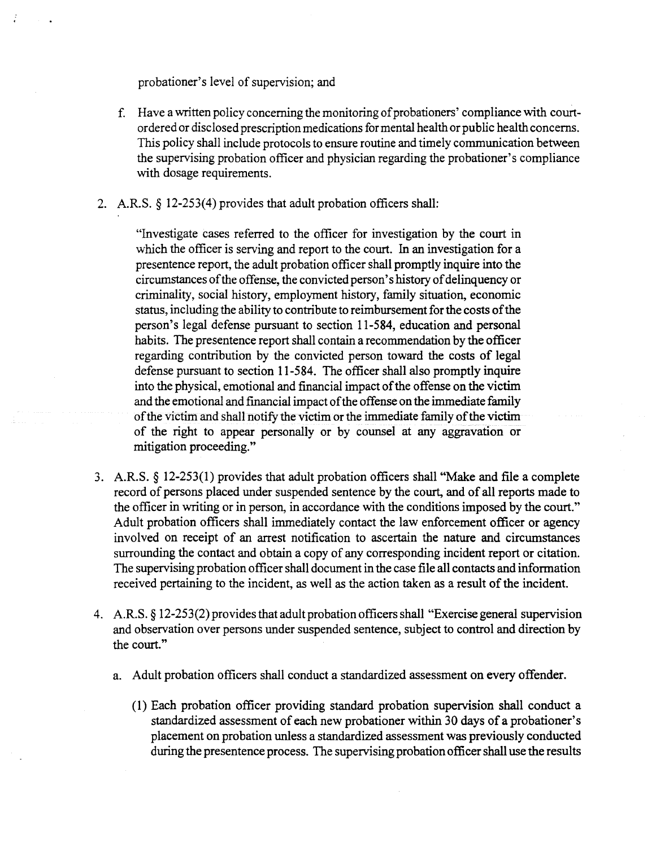probationer's level of supervision; and

- f. Have a written policy concerning the monitoring of probationers' compliance with courtordered or disclosed prescription medications for mental health or public health concerns. This policy shall include protocols to ensure routine and timely communication between the supervising probation officer and physician regarding the probationer's compliance with dosage requirements.
- 2. A.R.S. § 12-253(4) provides that adult probation officers shall:

"Investigate cases referred to the officer for investigation by the court in which the officer is serving and report to the court. In an investigation for a presentence report, the adult probation officer shall promptly inquire into the circumstances of the offense, the convicted person's history of delinquency or criminality, social history, employment history, family situation, economic status, including the ability to contribute to reimbursement for the costs of the person's legal defense pursuant to section 11-584, education and personal habits. The presentence report shall contain a recommendation by the officer regarding contribution by the convicted person toward the costs of legal defense pursuant to section 11-584. The officer shall also promptly inquire into the physical, emotional and financial impact of the offense on the victim and the emotional and financial impact of the offense on the immediate family of the victim and shall notify the victim or the immediate family of the victim of the right to appear personally or by counsel at any aggravation **or** mitigation proceeding."

- 3. A.R.S. § 12-253(1) provides that adult probation officers shall "Make and **file a complete** record of persons placed under suspended sentence by the court, and of all reports made to the officer in writing or in person, in accordance with the conditions imposed by the court." Adult probation officers shall immediately contact the law enforcement officer or agency involved on receipt of an arrest notification to ascertain the nature and circumstances surrounding the contact and obtain a copy of any corresponding incident report or citation. The supervising probation officer shall document in the case file all contacts and information received pertaining to the incident, as well as the action taken as a result of the incident.
- 4. A.R.S. § 12-253(2) provides that adult probation officers shall "Exercise general supervision and observation over persons under suspended sentence, subject to control and direction by the court."
	- a. Adult probation officers shall conduct a standardized assessment on every offender.
		- (1) Each probation officer providing standard **probation supervision shall conduct a** standardized assessment of each new probationer within 30 days of a probationer's placement on probation unless a standardized assessmentwas previously conducted during the presentence process. The supervising probation officer shall use the results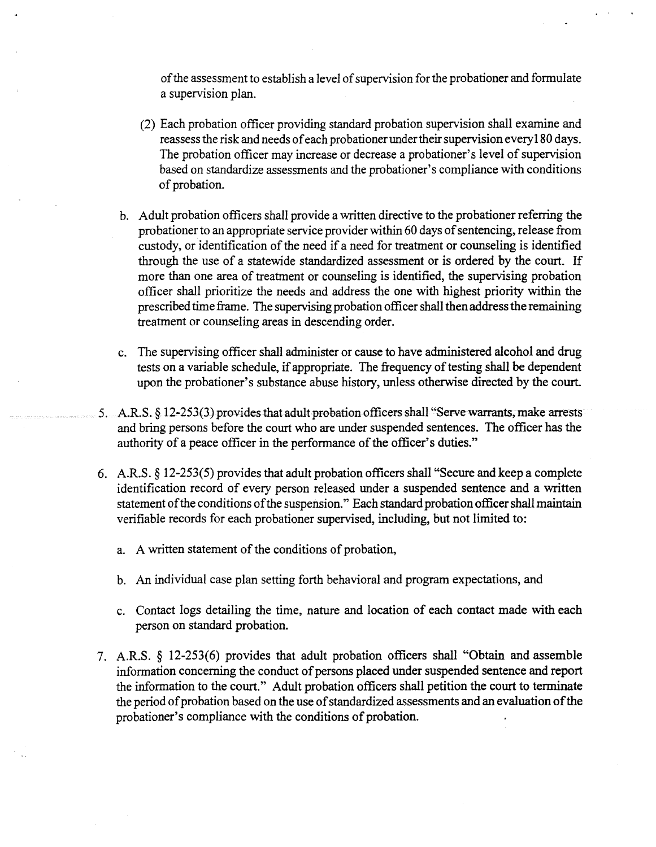of the assessment to establish a level of supervision for the probationer and formulate a supervision plan.

- (2) Each probation officer providing standard probation supervision shall examine and reassess the risk and needs of each probationer under their supervision every 180 days. The probation officer may increase or decrease a probationer's level of supervision based on standardize assessments and the probationer's compliance with conditions of probation.
- b. Adult probation officers shall provide a written directive to the probationer referring the probationer to an appropriate service provider within 60 days of sentencing, release from custody, or identification of the need if a need for treatment or counseling is identified through the use of a statewide standardized assessment or is ordered by the court. If more than one area of treatment or counseling is identified, the supervising probation officer shall prioritize the needs and address the one with highest priority within the prescribed time frame. The supervising probation officer shall then address the remaining treatment or counseling areas in descending order.
- c. The supervising officer shall administeror cause to have administered alcohol and drug tests on a variable schedule, if appropriate. The frequency of testing shall be dependent upon the probationer's substance abuse history, unless otherwise directed by the court.
- 5. A.R.S. § 12-253(3) provides that adult probation officers shall "Serve warrants, make arrests and bring persons before the court who are under suspended sentences. The officer has the authority of a peace officer in the performance of the officer's duties."
- 6. A.R.S. § *12-253(5)* provides that adult probation officers shall "Secure and **keep a complete** identification record of every person released under a suspended sentence and a written statement of the conditions of the suspension." Each standard probation officer shall maintain verifiable records for each probationer supervised, including, but not limited to:
	- a. A written statement of the conditions of probation,
	- b. An individual case plan setting forth behavioral and program expectations, and
	- c. Contact logs detailing the time, nature and location of each contact made with each person on standard probation.
- 7. A.R.S. § *12-253(6)* **provides** that adult probation officers shall "Obtain and assemble information concerning the conduct of persons placed under suspended sentence and report the information to the court." Adult probation officers shall petition the court to terminate the period of probation based on the use of standardized assessments and an evaluation of the probationer's compliance with the conditions of probation.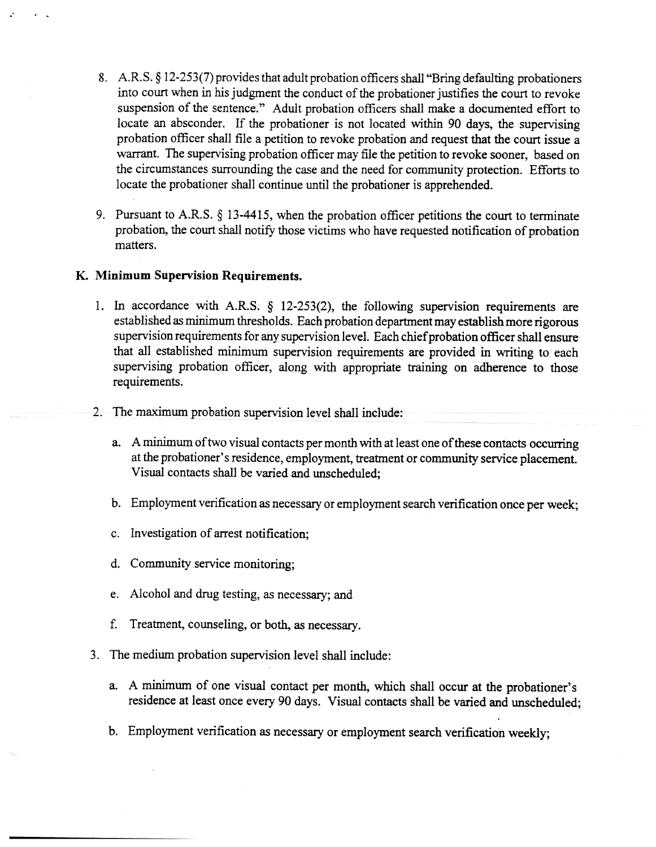- 8. A.R.S.  $\S$  12-253(7) provides that adult probation officers shall "Bring defaulting probationers into court when in his judgment the conduct of the probationer justifies the court to revoke suspension of the sentence." Adult probation officers shall make a documented effort to locate an absconder. If the probationer is not located within 90 days, the supervising probation officer shall file a petition to revoke probation and request that the court issue a warrant. The supervising probation officer may file the petition to revoke sooner, based on the circumstances surrounding the case and the need for community protection. Efforts to locate the probationer shall continue until the probationer is apprehended.
- 9. Pursuant to A.R.S. § 13-4415, when the probation officer petitions the court to terminate probation, the court shall notify those victims who have requested notification of probation matters.

### **K. Minimum** Supervision Requirements.

- 1. In accordance with A.R.S.  $\S$  12-253(2), the following supervision requirements are established as minimum thresholds. Each probation department may establish more rigorous supervision requirements for any supervision level. Each chief probation officer shall ensure that all established minimum supervision requirements are provided in writing **to each** supervising probation officer, along with appropriate training **on** adherence to those requirements.
- 2. The maximum probation supervision level shall include:
	- a. A minimum of two visual contacts per month with at least one of these contacts occurring at the probationer's residence, employment, treatment or community service placement. Visual contacts shall be varied and unscheduled;
	- b. Employment verification as necessary or employment search verification once per week;
	- c. Investigation of arrest notification;
	- d. Community service monitoring;
	- e. Alcohol and drug testing, as necessary; and
	- f. Treatment, counseling, or both, as necessary.
- 3. The medium probation supervision level shall include:
	- a. A minimum of one visual contact per month, which shall occur at the probationer's residence at least once every 90 days. Visual contacts shall be varied and unscheduled;
	- b. Employment verification as necessary or employment search verification weekly;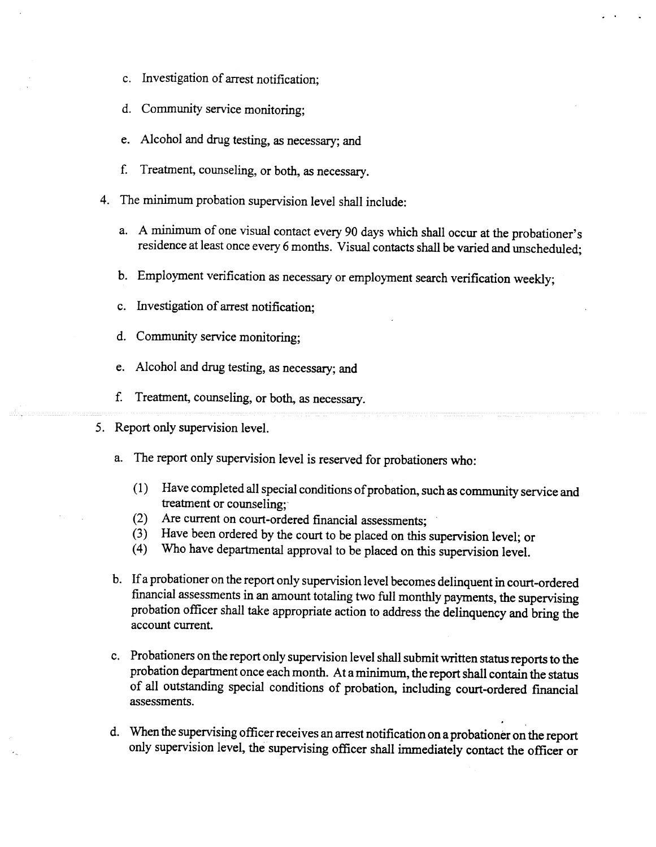- c. Investigation of arrest notification;
- d. Community service monitoring;
- e. Alcohol and drug testing, as necessary; and
- f. Treatment, counseling, or both, as necessary.
- 4. The minimum probation supervision level shall include:
	- a. A minimum of one visual contact every 90 days which shall occur at the probationer's residence at least once every 6 months. Visual contacts shall be varied and unscheduled;
	- b. Employment verification as necessary or employment search verification weekly;
	- c. Investigation of arrest notification;
	- d. Community service monitoring;
	- e. Alcohol and drug testing, as necessary; and
	- f. Treatment, counseling, or both, as necessary.
- *5.* Report only supervision level.
	- a. The report only supervision level is reserved for probationers who:
		- (1) Have completed all special conditions of probation, such as community service and treatment or counseling;
		- (2) Are current on court-ordered financial assessments;
		- (3) Have been ordered by the court to be placed on this **supervision level; or**
		- (4) Who have departmental approval to be placed on this **supervision level.**
	- b. If a probationer on the report only supervision level becomes delinquent in court-ordered financial assessments in an amount totaling two full monthly payments, the supervising probation officer shall take appropriate action to address the delinquency and bring **the** account current.
	- c. Probationers on the report only supervision level shall submit written status reports to the probationdepartment once eachmonth. At aminimum, the reportshall contain **the status** of all outstanding special conditions of probation, including court-ordered fmancial assessments.
	- **d. Whenthesupervising officer receives an**arrest **notificationona probationer onthereport** only **supervision level, the supervising officer** shall immediately contact the officer or